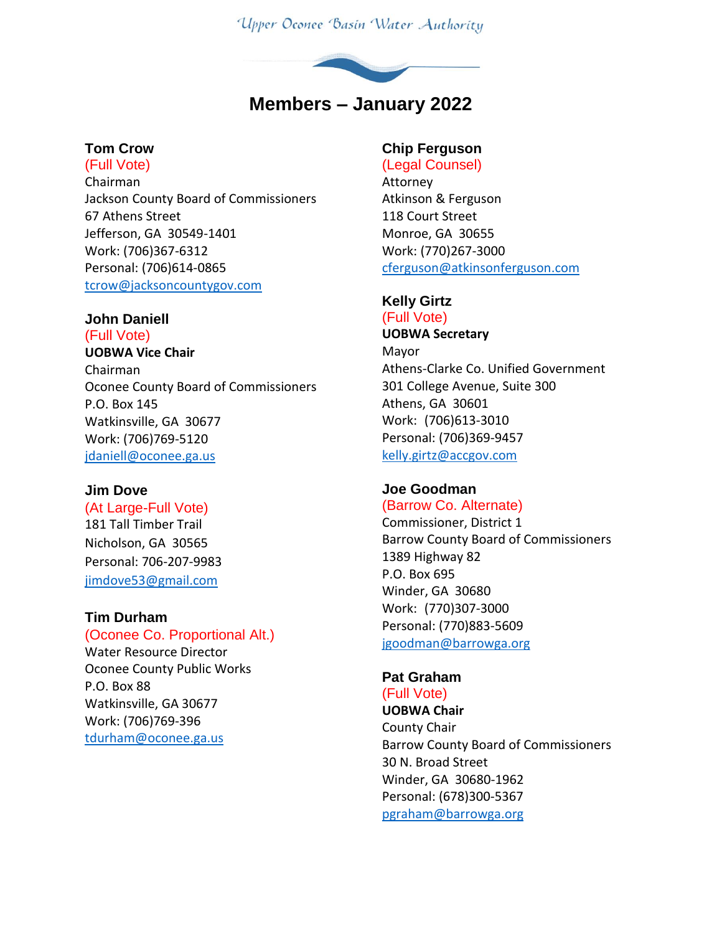Upper Oconee Basin Water Authority



## **Tom Crow**

(Full Vote) Chairman Jackson County Board of Commissioners 67 Athens Street Jefferson, GA 30549-1401 Work: (706)367-6312 Personal: (706)614-0865 [tcrow@jacksoncountygov.com](mailto:tcrow@jacksoncountygov.com)

## **John Daniell**

(Full Vote) **UOBWA Vice Chair** Chairman Oconee County Board of Commissioners P.O. Box 145 Watkinsville, GA 30677 Work: (706)769-5120 [jdaniell@oconee.ga.us](mailto:jdaniell@oconee.ga.us)

#### **Jim Dove**

#### (At Large-Full Vote)

181 Tall Timber Trail Nicholson, GA 30565 Personal: 706-207-9983 [jimdove53@gmail.com](mailto:jimdove53@gmail.com)

#### **Tim Durham**

(Oconee Co. Proportional Alt.) Water Resource Director Oconee County Public Works P.O. Box 88 Watkinsville, GA 30677 Work: (706)769-396 [tdurham@oconee.ga.us](mailto:tdurham@oconee.ga.us)

## **Chip Ferguson**

(Legal Counsel) Attorney Atkinson & Ferguson 118 Court Street Monroe, GA 30655 Work: (770)267-3000 [cferguson@atkinsonferguson.com](mailto:cferguson@atkinsonferguson.com)

#### **Kelly Girtz**

(Full Vote) **UOBWA Secretary** Mayor Athens-Clarke Co. Unified Government 301 College Avenue, Suite 300 Athens, GA 30601 Work: (706)613-3010 Personal: (706)369-9457 [kelly.girtz@accgov.com](mailto:kelly.girtz@accgov.com)

#### **Joe Goodman** (Barrow Co. Alternate)

Commissioner, District 1 Barrow County Board of Commissioners 1389 Highway 82 P.O. Box 695 Winder, GA 30680 Work: (770)307-3000 Personal: (770)883-5609 [jgoodman@barrowga.org](mailto:jgoodman@barrowga.org)

# **Pat Graham**

(Full Vote) **UOBWA Chair** County Chair Barrow County Board of Commissioners 30 N. Broad Street Winder, GA 30680-1962 Personal: (678)300-5367 [pgraham@barrowga.org](mailto:pgraham@barrowga.org)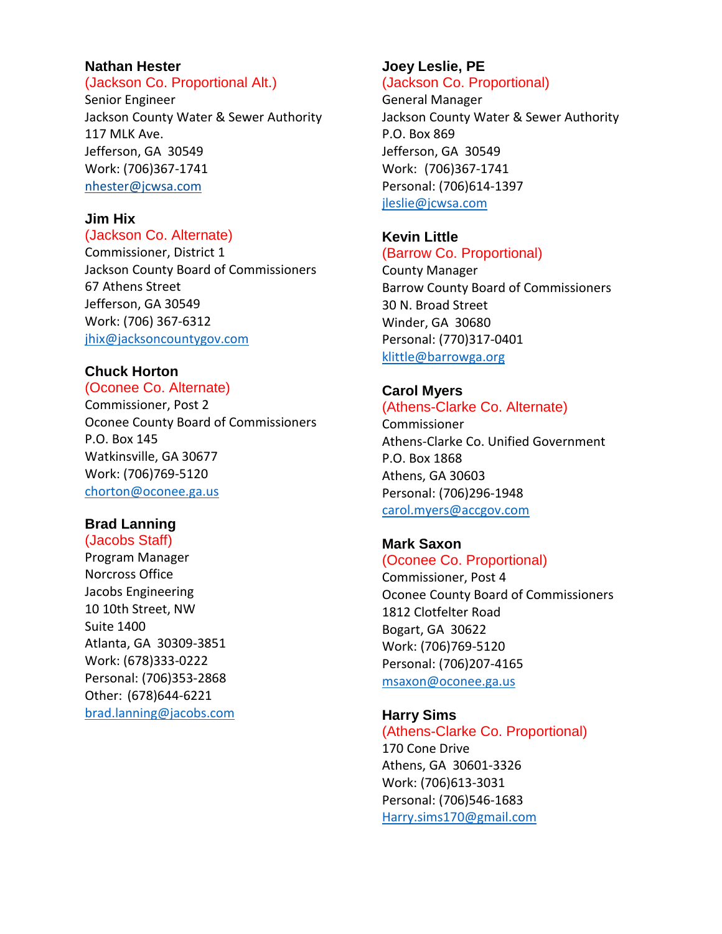## **Nathan Hester**

#### (Jackson Co. Proportional Alt.)

Senior Engineer Jackson County Water & Sewer Authority 117 MLK Ave. Jefferson, GA 30549 Work: (706)367-1741 [nhester@jcwsa.com](file:///C:/Users/frontdesk/AppData/Local/Microsoft/Windows/Temporary%20Internet%20Files/Content.Outlook/V1M7XYO0/nhester@jcwsa.com)

#### **Jim Hix**

#### (Jackson Co. Alternate)

Commissioner, District 1 Jackson County Board of Commissioners 67 Athens Street Jefferson, GA 30549 Work: (706) 367-6312 [jhix@jacksoncountygov.com](mailto:jhix@jacksoncountygov.com)

#### **Chuck Horton**

(Oconee Co. Alternate) Commissioner, Post 2 Oconee County Board of Commissioners P.O. Box 145 Watkinsville, GA 30677 Work: (706)769-5120 [chorton@oconee.ga.us](mailto:chorton@oconee.ga.us)

#### **Brad Lanning**

(Jacobs Staff) Program Manager Norcross Office Jacobs Engineering 10 10th Street, NW Suite 1400 Atlanta, GA 30309-3851 Work: (678)333-0222 Personal: (706)353-2868 Other: (678)644-6221 [brad.lanning@jacobs.com](mailto:brad.lanning@jacobs.com)

# **Joey Leslie, PE**

## (Jackson Co. Proportional)

General Manager Jackson County Water & Sewer Authority P.O. Box 869 Jefferson, GA 30549 Work: (706)367-1741 Personal: (706)614-1397 [jleslie@jcwsa.com](mailto:jleslie@jcwsa.com)

#### **Kevin Little** (Barrow Co. Proportional)

County Manager Barrow County Board of Commissioners 30 N. Broad Street Winder, GA 30680 Personal: (770)317-0401 [klittle@barrowga.org](mailto:klittle@barrowga.org)

## **Carol Myers**

#### (Athens-Clarke Co. Alternate)

Commissioner Athens-Clarke Co. Unified Government P.O. Box 1868 Athens, GA 30603 Personal: (706)296-1948 [carol.myers@accgov.com](mailto:Andy.herod@accgov.com)

#### **Mark Saxon**

(Oconee Co. Proportional) Commissioner, Post 4 Oconee County Board of Commissioners 1812 Clotfelter Road Bogart, GA 30622 Work: (706)769-5120 Personal: (706)207-4165 [msaxon@oconee.ga.us](mailto:msaxon@oconee.ga.us)

## **Harry Sims**

(Athens-Clarke Co. Proportional) 170 Cone Drive Athens, GA 30601-3326 Work: (706)613-3031 Personal: (706)546-1683 [Harry.sims170@gmail.com](mailto:Harry.sims170@gmail.com)